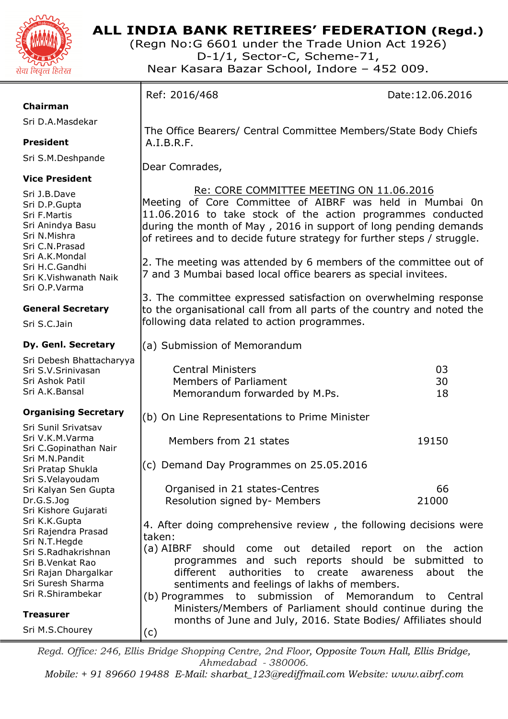

# **ALL INDIA BANK RETIREES' FEDERATION (Regd.)**

The Office Bearers/ Central Committee Members/State Body Chiefs

 Re: CORE COMMITTEE MEETING ON 11.06.2016 Meeting of Core Committee of AIBRF was held in Mumbai 0n 11.06.2016 to take stock of the action programmes conducted during the month of May , 2016 in support of long pending demands of retirees and to decide future strategy for further steps / struggle.

2. The meeting was attended by 6 members of the committee out of

3. The committee expressed satisfaction on overwhelming response to the organisational call from all parts of the country and noted the

Central Ministers 03 Members of Parliament 30 Memorandum forwarded by M.Ps. 18

7 and 3 Mumbai based local office bearers as special invitees.

(Regn No:G 6601 under the Trade Union Act 1926) D-1/1, Sector-C, Scheme-71, Near Kasara Bazar School, Indore – 452 009.

A.I.B.R.F.

Dear Comrades,

Ref: 2016/468 Date:12.06.2016

## **Chairman**

Sri D.A.Masdekar

# **President**

Sri S.M.Deshpande

# **Vice President**

Sri J.B.Dave Sri D.P.Gupta Sri F.Martis Sri Anindya Basu Sri N.Mishra Sri C.N.Prasad Sri A.K.Mondal Sri H.C.Gandhi Sri K.Vishwanath Naik Sri O.P.Varma

# **General Secretary**

Sri S.C.Jain

# **Dy. Genl. Secretary**

Sri Debesh Bhattacharyya Sri S.V.Srinivasan Sri Ashok Patil Sri A.K.Bansal

| <b>Organising Secretary</b>                                                                           | (b) On Line Representations to Prime Minister                                                                                                                                                              |              |
|-------------------------------------------------------------------------------------------------------|------------------------------------------------------------------------------------------------------------------------------------------------------------------------------------------------------------|--------------|
| Sri Sunil Srivatsav<br>Sri V.K.M.Varma<br>Sri C.Gopinathan Nair                                       | Members from 21 states                                                                                                                                                                                     | 19150        |
| Sri M.N.Pandit<br>Sri Pratap Shukla<br>Sri S.Velayoudam                                               | (c) Demand Day Programmes on 25.05.2016                                                                                                                                                                    |              |
| Sri Kalyan Sen Gupta                                                                                  | Organised in 21 states-Centres                                                                                                                                                                             | 66           |
| Dr.G.S.Jog<br>Sri Kishore Gujarati                                                                    | Resolution signed by- Members                                                                                                                                                                              | 21000        |
| Sri K.K.Gupta<br>Sri Rajendra Prasad                                                                  | 4. After doing comprehensive review, the following decisions were<br>taken:                                                                                                                                |              |
| Sri N.T.Hegde<br>Sri S.Radhakrishnan<br>Sri B.Venkat Rao<br>Sri Rajan Dhargalkar<br>Sri Suresh Sharma | (a) AIBRF should come out detailed report on the action<br>programmes and such reports should be submitted to<br>different authorities to create awareness<br>sentiments and feelings of lakhs of members. | about<br>the |
| Sri R.Shirambekar                                                                                     | (b) Programmes to submission of Memorandum to Central                                                                                                                                                      |              |
| <b>Treasurer</b>                                                                                      | Ministers/Members of Parliament should continue during the<br>months of June and July, 2016. State Bodies/ Affiliates should                                                                               |              |
| Sri M.S.Chourey                                                                                       | (c)                                                                                                                                                                                                        |              |

following data related to action programmes.

(a) Submission of Memorandum

*Regd. Office: 246, Ellis Bridge Shopping Centre, 2nd Floor, Opposite Town Hall, Ellis Bridge, Ahmedabad - 380006.* 

*Mobile: + 91 89660 19488 E-Mail: sharbat\_123@rediffmail.com Website: www.aibrf.com*